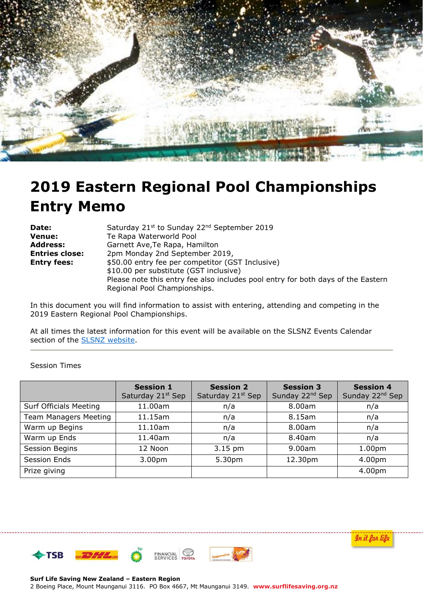

# **2019 Eastern Regional Pool Championships Entry Memo**

| Date:              | Saturday 21st to Sunday 22 <sup>nd</sup> September 2019                          |
|--------------------|----------------------------------------------------------------------------------|
| Venue:             | Te Rapa Waterworld Pool                                                          |
| Address:           | Garnett Ave, Te Rapa, Hamilton                                                   |
| Entries close:     | 2pm Monday 2nd September 2019,                                                   |
| <b>Entry fees:</b> | \$50.00 entry fee per competitor (GST Inclusive)                                 |
|                    | \$10.00 per substitute (GST inclusive)                                           |
|                    | Please note this entry fee also includes pool entry for both days of the Eastern |
|                    | Regional Pool Championships.                                                     |

In this document you will find information to assist with entering, attending and competing in the 2019 Eastern Regional Pool Championships.

At all times the latest information for this event will be available on the SLSNZ Events Calendar section of the **SLSNZ** website.

#### Session Times

|                               | <b>Session 1</b><br>Saturday 21 <sup>st</sup> Sep | <b>Session 2</b><br>Saturday 21 <sup>st</sup> Sep | <b>Session 3</b><br>Sunday 22 <sup>nd</sup> Sep | <b>Session 4</b><br>Sunday 22 <sup>nd</sup> Sep |
|-------------------------------|---------------------------------------------------|---------------------------------------------------|-------------------------------------------------|-------------------------------------------------|
| <b>Surf Officials Meeting</b> | 11.00am                                           | n/a                                               | 8.00am                                          | n/a                                             |
| <b>Team Managers Meeting</b>  | 11.15am                                           | n/a                                               | 8.15am                                          | n/a                                             |
| Warm up Begins                | 11.10am                                           | n/a                                               | 8.00am                                          | n/a                                             |
| Warm up Ends                  | 11.40am                                           | n/a                                               | 8.40am                                          | n/a                                             |
| Session Begins                | 12 Noon                                           | 3.15 pm                                           | 9.00am                                          | 1.00 <sub>pm</sub>                              |
| <b>Session Ends</b>           | 3.00 <sub>pm</sub>                                | 5.30pm                                            | 12.30pm                                         | 4.00pm                                          |
| Prize giving                  |                                                   |                                                   |                                                 | 4.00pm                                          |

In it far life

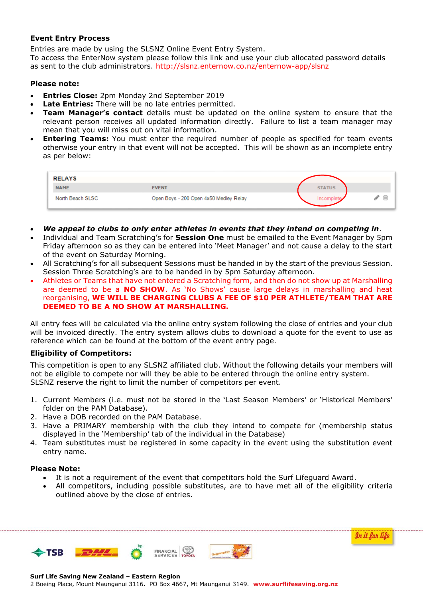#### **Event Entry Process**

Entries are made by using the SLSNZ Online Event Entry System.

To access the EnterNow system please follow this link and use your club allocated password details as sent to the club administrators.<http://slsnz.enternow.co.nz/enternow-app/slsnz>

#### **Please note:**

- **Entries Close:** 2pm Monday 2nd September 2019
- **Late Entries:** There will be no late entries permitted.
- **Team Manager's contact** details must be updated on the online system to ensure that the relevant person receives all updated information directly. Failure to list a team manager may mean that you will miss out on vital information.
- **Entering Teams:** You must enter the required number of people as specified for team events otherwise your entry in that event will not be accepted. This will be shown as an incomplete entry as per below:

| <b>RELAYS</b>    |                                        |               |
|------------------|----------------------------------------|---------------|
| <b>NAME</b>      | <b>EVENT</b>                           | <b>STATUS</b> |
| North Beach SLSC | Open Boys - 200 Open 4x50 Medley Relay | Incomple      |

- *We appeal to clubs to only enter athletes in events that they intend on competing in*.
- Individual and Team Scratching's for **Session One** must be emailed to the Event Manager by 5pm Friday afternoon so as they can be entered into 'Meet Manager' and not cause a delay to the start of the event on Saturday Morning.
- All Scratching's for all subsequent Sessions must be handed in by the start of the previous Session. Session Three Scratching's are to be handed in by 5pm Saturday afternoon.
- Athletes or Teams that have not entered a Scratching form, and then do not show up at Marshalling are deemed to be a **NO SHOW**. As 'No Shows' cause large delays in marshalling and heat reorganising, **WE WILL BE CHARGING CLUBS A FEE OF \$10 PER ATHLETE/TEAM THAT ARE DEEMED TO BE A NO SHOW AT MARSHALLING.**

All entry fees will be calculated via the online entry system following the close of entries and your club will be invoiced directly. The entry system allows clubs to download a quote for the event to use as reference which can be found at the bottom of the event entry page.

## **Eligibility of Competitors:**

This competition is open to any SLSNZ affiliated club. Without the following details your members will not be eligible to compete nor will they be able to be entered through the online entry system. SLSNZ reserve the right to limit the number of competitors per event.

- 1. Current Members (i.e. must not be stored in the 'Last Season Members' or 'Historical Members' folder on the PAM Database).
- 2. Have a DOB recorded on the PAM Database.
- 3. Have a PRIMARY membership with the club they intend to compete for (membership status displayed in the 'Membership' tab of the individual in the Database)
- 4. Team substitutes must be registered in some capacity in the event using the substitution event entry name.

#### **Please Note:**

- It is not a requirement of the event that competitors hold the Surf Lifeguard Award.
- All competitors, including possible substitutes, are to have met all of the eligibility criteria outlined above by the close of entries.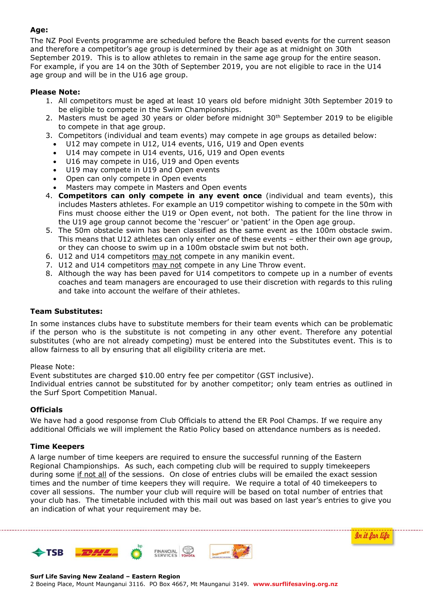# **Age:**

The NZ Pool Events programme are scheduled before the Beach based events for the current season and therefore a competitor's age group is determined by their age as at midnight on 30th September 2019. This is to allow athletes to remain in the same age group for the entire season. For example, if you are 14 on the 30th of September 2019, you are not eligible to race in the U14 age group and will be in the U16 age group.

# **Please Note:**

- 1. All competitors must be aged at least 10 years old before midnight 30th September 2019 to be eligible to compete in the Swim Championships.
- 2. Masters must be aged 30 years or older before midnight 30<sup>th</sup> September 2019 to be eligible to compete in that age group.
- 3. Competitors (individual and team events) may compete in age groups as detailed below:
	- U12 may compete in U12, U14 events, U16, U19 and Open events
	- U14 may compete in U14 events, U16, U19 and Open events
	- U16 may compete in U16, U19 and Open events
	- U19 may compete in U19 and Open events
	- Open can only compete in Open events
	- Masters may compete in Masters and Open events
- 4. **Competitors can only compete in any event once** (individual and team events), this includes Masters athletes. For example an U19 competitor wishing to compete in the 50m with Fins must choose either the U19 or Open event, not both. The patient for the line throw in the U19 age group cannot become the 'rescuer' or 'patient' in the Open age group.
- 5. The 50m obstacle swim has been classified as the same event as the 100m obstacle swim. This means that U12 athletes can only enter one of these events – either their own age group, or they can choose to swim up in a 100m obstacle swim but not both.
- 6. U12 and U14 competitors may not compete in any manikin event.
- 7. U12 and U14 competitors may not compete in any Line Throw event.
- 8. Although the way has been paved for U14 competitors to compete up in a number of events coaches and team managers are encouraged to use their discretion with regards to this ruling and take into account the welfare of their athletes.

## **Team Substitutes:**

In some instances clubs have to substitute members for their team events which can be problematic if the person who is the substitute is not competing in any other event. Therefore any potential substitutes (who are not already competing) must be entered into the Substitutes event. This is to allow fairness to all by ensuring that all eligibility criteria are met.

#### Please Note:

Event substitutes are charged \$10.00 entry fee per competitor (GST inclusive).

Individual entries cannot be substituted for by another competitor; only team entries as outlined in the Surf Sport Competition Manual.

## **Officials**

We have had a good response from Club Officials to attend the ER Pool Champs. If we require any additional Officials we will implement the Ratio Policy based on attendance numbers as is needed.

## **Time Keepers**

A large number of time keepers are required to ensure the successful running of the Eastern Regional Championships. As such, each competing club will be required to supply timekeepers during some if not all of the sessions. On close of entries clubs will be emailed the exact session times and the number of time keepers they will require. We require a total of 40 timekeepers to cover all sessions. The number your club will require will be based on total number of entries that your club has. The timetable included with this mail out was based on last year's entries to give you an indication of what your requirement may be.

In it far life

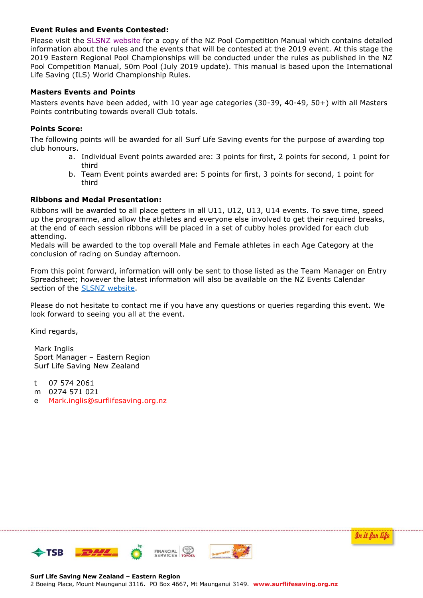## **Event Rules and Events Contested:**

Please visit the [SLSNZ website](https://www.surflifesaving.org.nz/sport/sport-documents-library/sport-rules) for a copy of the NZ Pool Competition Manual which contains detailed information about the rules and the events that will be contested at the 2019 event. At this stage the 2019 Eastern Regional Pool Championships will be conducted under the rules as published in the NZ Pool Competition Manual, 50m Pool (July 2019 update). This manual is based upon the International Life Saving (ILS) World Championship Rules.

## **Masters Events and Points**

Masters events have been added, with 10 year age categories (30-39, 40-49, 50+) with all Masters Points contributing towards overall Club totals.

#### **Points Score:**

The following points will be awarded for all Surf Life Saving events for the purpose of awarding top club honours.

- a. Individual Event points awarded are: 3 points for first, 2 points for second, 1 point for third
- b. Team Event points awarded are: 5 points for first, 3 points for second, 1 point for third

## **Ribbons and Medal Presentation:**

Ribbons will be awarded to all place getters in all U11, U12, U13, U14 events. To save time, speed up the programme, and allow the athletes and everyone else involved to get their required breaks, at the end of each session ribbons will be placed in a set of cubby holes provided for each club attending.

Medals will be awarded to the top overall Male and Female athletes in each Age Category at the conclusion of racing on Sunday afternoon.

From this point forward, information will only be sent to those listed as the Team Manager on Entry Spreadsheet; however the latest information will also be available on the NZ Events Calendar section of the [SLSNZ website.](https://www.surflifesaving.org.nz/calendar/2019/september/eastern-region-pool-championships)

Please do not hesitate to contact me if you have any questions or queries regarding this event. We look forward to seeing you all at the event.

Kind regards,

Mark Inglis Sport Manager – Eastern Region Surf Life Saving New Zealand

t 07 574 2061

- m 0274 571 021
- e Mark.inglis@surflifesaving.org.nz

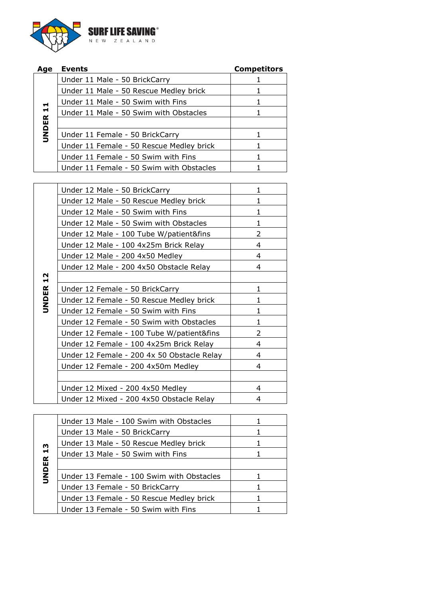

| Age          | <b>Events</b>                            | <b>Competitors</b> |
|--------------|------------------------------------------|--------------------|
|              | Under 11 Male - 50 BrickCarry            |                    |
|              | Under 11 Male - 50 Rescue Medley brick   |                    |
|              | Under 11 Male - 50 Swim with Fins        |                    |
| $\mathbf{1}$ | Under 11 Male - 50 Swim with Obstacles   |                    |
|              |                                          |                    |
| <b>JNDER</b> | Under 11 Female - 50 BrickCarry          |                    |
|              | Under 11 Female - 50 Rescue Medley brick |                    |
|              | Under 11 Female - 50 Swim with Fins      |                    |
|              | Under 11 Female - 50 Swim with Obstacles |                    |

|                 | Under 12 Male - 50 BrickCarry              | 1             |
|-----------------|--------------------------------------------|---------------|
|                 | Under 12 Male - 50 Rescue Medley brick     | 1             |
|                 | Under 12 Male - 50 Swim with Fins          | 1             |
|                 | Under 12 Male - 50 Swim with Obstacles     | 1             |
|                 | Under 12 Male - 100 Tube W/patient&fins    | 2             |
|                 | Under 12 Male - 100 4x25m Brick Relay      | 4             |
|                 | Under 12 Male - 200 4x50 Medley            | 4             |
|                 | Under 12 Male - 200 4x50 Obstacle Relay    | 4             |
|                 |                                            |               |
| <b>UNDER 12</b> | Under 12 Female - 50 BrickCarry            | 1             |
|                 | Under 12 Female - 50 Rescue Medley brick   | 1             |
|                 | Under 12 Female - 50 Swim with Fins        | 1             |
|                 | Under 12 Female - 50 Swim with Obstacles   | $\mathbf{1}$  |
|                 | Under 12 Female - 100 Tube W/patient&fins  | $\mathcal{L}$ |
|                 | Under 12 Female - 100 4x25m Brick Relay    | 4             |
|                 | Under 12 Female - 200 4x 50 Obstacle Relay | 4             |
|                 | Under 12 Female - 200 4x50m Medley         | 4             |
|                 |                                            |               |
|                 | Under 12 Mixed - 200 4x50 Medley           | 4             |
|                 | Under 12 Mixed - 200 4x50 Obstacle Relay   | 4             |

|                                   | Under 13 Male - 100 Swim with Obstacles   |  |
|-----------------------------------|-------------------------------------------|--|
|                                   | Under 13 Male - 50 BrickCarry             |  |
|                                   | Under 13 Male - 50 Rescue Medley brick    |  |
| $\frac{3}{1}$                     | Under 13 Male - 50 Swim with Fins         |  |
| $\boldsymbol{\underline{\alpha}}$ |                                           |  |
| <b>UNDEI</b>                      | Under 13 Female - 100 Swim with Obstacles |  |
|                                   | Under 13 Female - 50 BrickCarry           |  |
|                                   | Under 13 Female - 50 Rescue Medley brick  |  |
|                                   | Under 13 Female - 50 Swim with Fins       |  |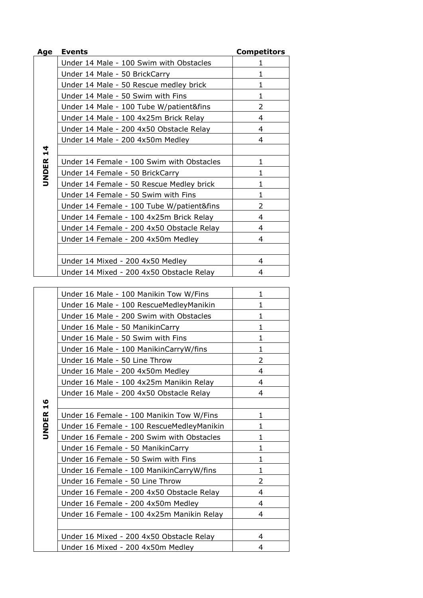| Age           | <b>Events</b>                             | <b>Competitors</b> |
|---------------|-------------------------------------------|--------------------|
|               | Under 14 Male - 100 Swim with Obstacles   | 1                  |
|               | Under 14 Male - 50 BrickCarry             | 1                  |
|               | Under 14 Male - 50 Rescue medley brick    | 1                  |
|               | Under 14 Male - 50 Swim with Fins         | 1                  |
|               | Under 14 Male - 100 Tube W/patient&fins   | $\overline{2}$     |
|               | Under 14 Male - 100 4x25m Brick Relay     | 4                  |
|               | Under 14 Male - 200 4x50 Obstacle Relay   | 4                  |
|               | Under 14 Male - 200 4x50m Medley          | 4                  |
| $\frac{1}{4}$ |                                           |                    |
|               | Under 14 Female - 100 Swim with Obstacles | 1                  |
| <b>UNDER</b>  | Under 14 Female - 50 BrickCarry           | 1                  |
|               | Under 14 Female - 50 Rescue Medley brick  | 1                  |
|               | Under 14 Female - 50 Swim with Fins       | 1                  |
|               | Under 14 Female - 100 Tube W/patient&fins | $\overline{2}$     |
|               | Under 14 Female - 100 4x25m Brick Relay   | 4                  |
|               | Under 14 Female - 200 4x50 Obstacle Relay | 4                  |
|               | Under 14 Female - 200 4x50m Medley        | 4                  |
|               |                                           |                    |
|               | Under 14 Mixed - 200 4x50 Medley          | 4                  |
|               | Under 14 Mixed - 200 4x50 Obstacle Relay  | 4                  |

| Under 16 Male - 100 Manikin Tow W/Fins    | 1             |
|-------------------------------------------|---------------|
| Under 16 Male - 100 RescueMedleyManikin   | 1             |
| Under 16 Male - 200 Swim with Obstacles   | 1             |
| Under 16 Male - 50 ManikinCarry           | 1             |
| Under 16 Male - 50 Swim with Fins         | 1             |
| Under 16 Male - 100 ManikinCarryW/fins    | 1             |
| Under 16 Male - 50 Line Throw             | $\mathcal{P}$ |
| Under 16 Male - 200 4x50m Medley          | 4             |
| Under 16 Male - 100 4x25m Manikin Relay   | 4             |
| Under 16 Male - 200 4x50 Obstacle Relay   | 4             |
|                                           |               |
| Under 16 Female - 100 Manikin Tow W/Fins  | 1             |
| Under 16 Female - 100 RescueMedleyManikin | 1             |
| Under 16 Female - 200 Swim with Obstacles | 1             |
| Under 16 Female - 50 ManikinCarry         | 1             |
| Under 16 Female - 50 Swim with Fins       | 1             |
| Under 16 Female - 100 ManikinCarryW/fins  | 1             |
| Under 16 Female - 50 Line Throw           | 2             |
| Under 16 Female - 200 4x50 Obstacle Relay | 4             |
| Under 16 Female - 200 4x50m Medley        | 4             |
| Under 16 Female - 100 4x25m Manikin Relay | 4             |
|                                           |               |
| Under 16 Mixed - 200 4x50 Obstacle Relay  | 4             |
| Under 16 Mixed - 200 4x50m Medley         | 4             |

**UNDER 16**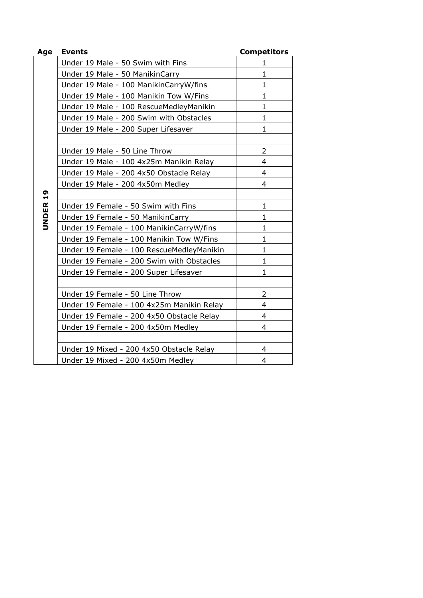| Age                 | <b>Events</b>                             | <b>Competitors</b> |
|---------------------|-------------------------------------------|--------------------|
|                     | Under 19 Male - 50 Swim with Fins         | 1                  |
|                     | Under 19 Male - 50 ManikinCarry           | 1                  |
|                     | Under 19 Male - 100 ManikinCarryW/fins    | $\mathbf{1}$       |
|                     | Under 19 Male - 100 Manikin Tow W/Fins    | $\mathbf{1}$       |
|                     | Under 19 Male - 100 RescueMedleyManikin   | 1                  |
|                     | Under 19 Male - 200 Swim with Obstacles   | 1                  |
|                     | Under 19 Male - 200 Super Lifesaver       | 1                  |
|                     |                                           |                    |
|                     | Under 19 Male - 50 Line Throw             | $\overline{2}$     |
|                     | Under 19 Male - 100 4x25m Manikin Relay   | 4                  |
|                     | Under 19 Male - 200 4x50 Obstacle Relay   | 4                  |
|                     | Under 19 Male - 200 4x50m Medley          | 4                  |
|                     |                                           |                    |
|                     | Under 19 Female - 50 Swim with Fins       | $\mathbf{1}$       |
| UNDER <sub>19</sub> | Under 19 Female - 50 ManikinCarry         | 1                  |
|                     | Under 19 Female - 100 ManikinCarryW/fins  | 1                  |
|                     | Under 19 Female - 100 Manikin Tow W/Fins  | $\mathbf 1$        |
|                     | Under 19 Female - 100 RescueMedleyManikin | $\mathbf{1}$       |
|                     | Under 19 Female - 200 Swim with Obstacles | $\mathbf 1$        |
|                     | Under 19 Female - 200 Super Lifesaver     | 1                  |
|                     |                                           |                    |
|                     | Under 19 Female - 50 Line Throw           | $\overline{2}$     |
|                     | Under 19 Female - 100 4x25m Manikin Relay | 4                  |
|                     | Under 19 Female - 200 4x50 Obstacle Relay | 4                  |
|                     | Under 19 Female - 200 4x50m Medley        | 4                  |
|                     |                                           |                    |
|                     | Under 19 Mixed - 200 4x50 Obstacle Relay  | 4                  |
|                     | Under 19 Mixed - 200 4x50m Medley         | 4                  |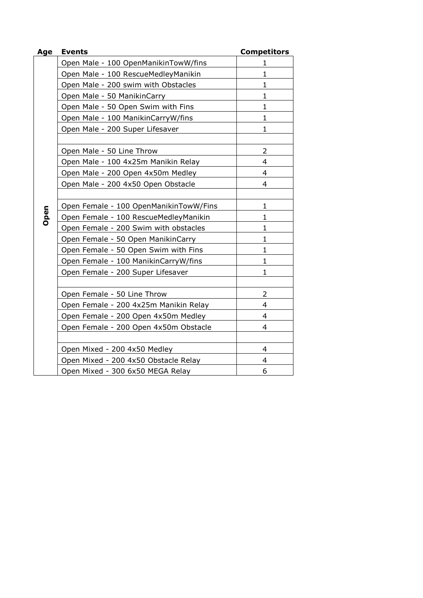| Age  | <b>Events</b>                          | <b>Competitors</b> |
|------|----------------------------------------|--------------------|
|      | Open Male - 100 OpenManikinTowW/fins   | 1                  |
|      | Open Male - 100 RescueMedleyManikin    | $\mathbf{1}$       |
|      | Open Male - 200 swim with Obstacles    | $\mathbf{1}$       |
|      | Open Male - 50 ManikinCarry            | $\mathbf{1}$       |
|      | Open Male - 50 Open Swim with Fins     | $\mathbf{1}$       |
|      | Open Male - 100 ManikinCarryW/fins     | 1                  |
|      | Open Male - 200 Super Lifesaver        | $\mathbf{1}$       |
|      | Open Male - 50 Line Throw              | 2                  |
|      | Open Male - 100 4x25m Manikin Relay    | $\overline{4}$     |
|      | Open Male - 200 Open 4x50m Medley      | 4                  |
|      | Open Male - 200 4x50 Open Obstacle     | 4                  |
|      |                                        |                    |
|      | Open Female - 100 OpenManikinTowW/Fins | $\mathbf{1}$       |
| Open | Open Female - 100 RescueMedleyManikin  | $\mathbf{1}$       |
|      | Open Female - 200 Swim with obstacles  | 1                  |
|      | Open Female - 50 Open ManikinCarry     | 1                  |
|      | Open Female - 50 Open Swim with Fins   | $\mathbf{1}$       |
|      | Open Female - 100 ManikinCarryW/fins   | $\mathbf{1}$       |
|      | Open Female - 200 Super Lifesaver      | 1                  |
|      | Open Female - 50 Line Throw            | 2                  |
|      | Open Female - 200 4x25m Manikin Relay  | $\overline{4}$     |
|      | Open Female - 200 Open 4x50m Medley    | 4                  |
|      | Open Female - 200 Open 4x50m Obstacle  | 4                  |
|      |                                        |                    |
|      | Open Mixed - 200 4x50 Medley           | 4                  |
|      | Open Mixed - 200 4x50 Obstacle Relay   | 4                  |
|      | Open Mixed - 300 6x50 MEGA Relay       | 6                  |